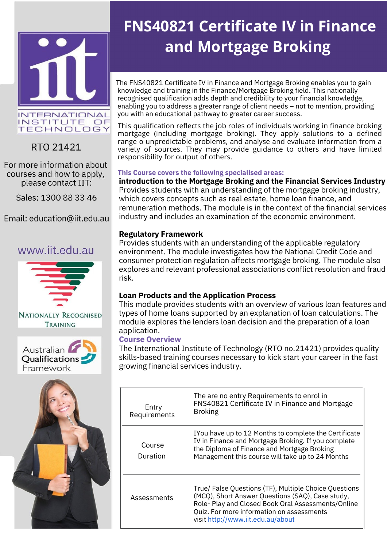



RTO 21421

For more information about courses and how to apply, please contact IIT:

Sales: 1300 88 33 46

Email: education@iit.edu.au

## www.iit.edu.au







# **FNS40821 Certificate IV in Finance and Mortgage Broking**

The FNS40821 Certificate IV in Finance and Mortgage Broking enables you to gain knowledge and training in the Finance/Mortgage Broking field. This nationally recognised qualification adds depth and credibility to your financial knowledge, enabling you to address a greater range of client needs – not to mention, providing you with an educational pathway to greater career success.

This qualification reflects the job roles of individuals working in finance broking mortgage (including mortgage broking). They apply solutions to a defined range o unpredictable problems, and analyse and evaluate information from a variety of sources. They may provide guidance to others and have limited responsibility for output of others.

#### **This Course covers the following specialised areas:**

**introduction to the Mortgage Broking and the Financial Services Industry** Provides students with an understanding of the mortgage broking industry, which covers concepts such as real estate, home loan finance, and remuneration methods. The module is in the context of the financial services industry and includes an examination of the economic environment.

#### **Regulatory Framework**

Provides students with an understanding of the applicable regulatory environment. The module investigates how the National Credit Code and consumer protection regulation affects mortgage broking. The module also explores and relevant professional associations conflict resolution and fraud risk.

### **Loan Products and the Application Process**

This module provides students with an overview of various loan features and types of home loans supported by an explanation of loan calculations. The module explores the lenders loan decision and the preparation of a loan application.

### **Course Overview**

The International Institute of Technology (RTO no.21421) provides quality skills-based training courses necessary to kick start your career in the fast growing financial services industry.

| Entry<br>Requirements | The are no entry Requirements to enrol in<br>FNS40821 Certificate IV in Finance and Mortgage<br><b>Broking</b>                                                                                                                                    |
|-----------------------|---------------------------------------------------------------------------------------------------------------------------------------------------------------------------------------------------------------------------------------------------|
| Course<br>Duration    | IYou have up to 12 Months to complete the Certificate<br>IV in Finance and Mortgage Broking. If you complete<br>the Diploma of Finance and Mortgage Broking<br>Management this course will take up to 24 Months                                   |
| Assessments           | True/ False Questions (TF), Multiple Choice Questions<br>(MCQ), Short Answer Questions (SAQ), Case study,<br>Role- Play and Closed Book Oral Assessments/Online<br>Quiz. For more information on assessments<br>visit http://www.iit.edu.au/about |